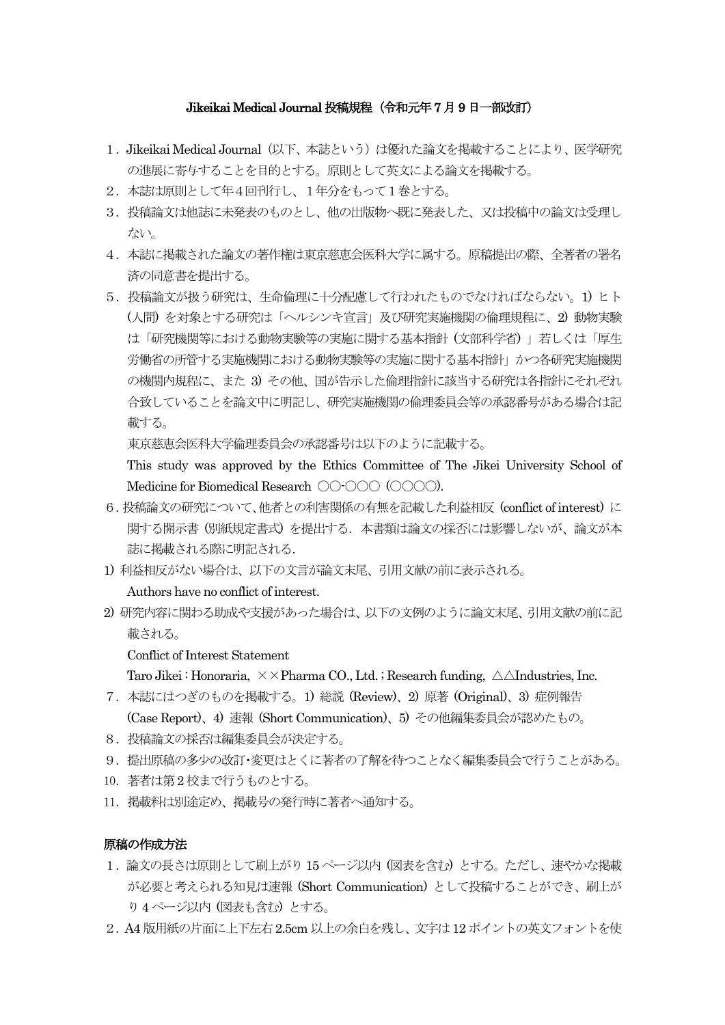## Jikeikai Medical Journal 投稿規程(令和元年7月9日一部改訂)

- 1.Jikeikai Medical Journal(以下、本誌という)は優れた論文を掲載することにより、医学研究 の進展に寄与することを目的とする。原則として英文による論文を掲載する。
- 2.本誌は原則として年4回刊行し、1年分をもって1巻とする。
- 3.投稿論文は他誌に未発表のものとし、他の出版物へ既に発表した、又は投稿中の論文は受理し ない。
- 4.本誌に掲載された論文の著作権は東京慈恵会医科大学に属する。原稿提出の際、全著者の署名 済の同意書を提出する。
- 5.投稿論文が扱う研究は、生命倫理に十分配慮して行われたものでなければならない。1) ヒト (人間) を対象とする研究は「ヘルシンキ宣言」及び研究実施機関の倫理規程に、2) 動物実験 は「研究機関等における動物実験等の実施に関する基本指針 (文部科学省) 」若しくは「厚生 労働省の所管する実施機関における動物実験等の実施に関する基本指針」かつ各研究実施機関 の機関内規程に、また 3) その他、国が告示した倫理指針に該当する研究は各指針にそれぞれ 合致していることを論文中に明記し、研究実施機関の倫理委員会等の承認番号がある場合は記 載する。

東京慈恵会医科大学倫理委員会の承認番号は以下のように記載する。

This study was approved by the Ethics Committee of The Jikei University School of Medicine for Biomedical Research 〇〇-〇〇〇 (〇〇〇〇).

- 6.投稿論文の研究について、他者との利害関係の有無を記載した利益相反 (conflict of interest) に 関する開示書 (別紙規定書式) を提出する.本書類は論文の採否には影響しないが、論文が本 誌に掲載される際に明記される.
- 1) 利益相反がない場合は、以下の文言が論文末尾、引用文献の前に表示される。

Authors have no conflict of interest.

2) 研究内容に関わる助成や支援があった場合は、以下の文例のように論文末尾、引用文献の前に記 載される。

Conflict of Interest Statement

Taro Jikei : Honoraria,  $\times \times$ Pharma CO., Ltd. ; Research funding,  $\triangle \triangle$ Industries, Inc.

- 7.本誌にはつぎのものを掲載する。1) 総説 (Review)、2) 原著 (Original)、3) 症例報告 (Case Report)、4) 速報 (Short Communication)、5) その他編集委員会が認めたもの。
- 8.投稿論文の採否は編集委員会が決定する。
- 9. 提出原稿の多少の改訂・変更はとくに著者の了解を待つことなく編集委員会で行うことがある。
- 10.著者は第2 校まで行うものとする。
- 11.掲載料は別途定め、掲載号の発行時に著者へ通知する。

## 原稿の作成方法

- 1.論文の長さは原則として刷上がり15 ページ以内 (図表を含む) とする。ただし、速やかな掲載 が必要と考えられる知見は速報 (Short Communication) として投稿することができ、刷上が り4ページ以内 (図表も含む) とする。
- 2.A4 版用紙の片面に上下左右2.5cm 以上の余白を残し、文字は12 ポイントの英文フォントを使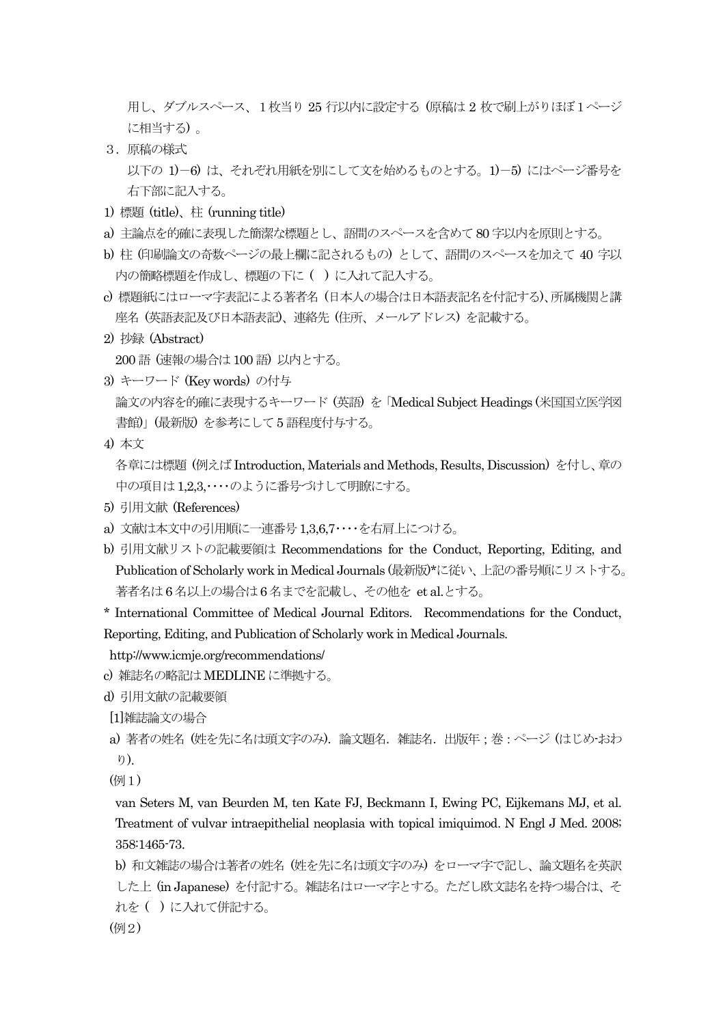用し、ダブルスペース、1枚当り 25 行以内に設定する (原稿は 2 枚で刷上がりほぼ1ページ に相当する) 。

- 3.原稿の様式 以下の 1)-6) は、それぞれ用紙を別にして文を始めるものとする。1)-5) にはページ番号を 右下部に記入する。
- 1) 標題 (title)、柱 (running title)
- a) 主論点を的確に表現した簡潔な標題とし、語間のスペースを含めて80 字以内を原則とする。
- b) 柱 (印刷論文の奇数ページの最上欄に記されるもの) として、語間のスペースを加えて 40 字以 内の簡略標題を作成し、標題の下に ( ) に入れて記入する。
- c) 標題紙にはローマ字表記による著者名 (日本人の場合は日本語表記名を付記する)、所属機関と講 座名 (英語表記及び日本語表記)、連絡先 (住所、メールアドレス) を記載する。
- 2) 抄録 (Abstract)

200 語 (速報の場合は100 語) 以内とする。

- 3) キーワード (Key words) の付与 論文の内容を的確に表現するキーワード (英語) を「Medical Subject Headings (米国国立医学図 書館)」(最新版) を参考にして5 語程度付与する。
- 4) 本文

各章には標題 (例えばIntroduction, Materials and Methods, Results, Discussion) を付し、章の 中の項目は1,2,3,・・・・のように番号づけして明瞭にする。

- 5) 引用文献 (References)
- a) 文献は本文中の引用順に一連番号1,3,6,7・・・・を右肩上につける。
- b) 引用文献リストの記載要領は Recommendations for the Conduct, Reporting, Editing, and Publication of Scholarly work in Medical Journals (最新版)\*に従い、上記の番号順にリストする。 著者名は6 名以上の場合は6 名までを記載し、その他を et al.とする。

\* International Committee of Medical Journal Editors. Recommendations for the Conduct, Reporting, Editing, and Publication of Scholarly work in Medical Journals.

http://www.icmje.org/recommendations/

- c) 雑誌名の略記はMEDLINE に準拠する。
- d) 引用文献の記載要領

[1]雑誌論文の場合

```
a) 著者の姓名 (姓を先に名は頭文字のみ).論文題名.雑誌名.出版年;巻:ページ (はじめ-おわ
り).
```
(例1)

van Seters M, van Beurden M, ten Kate FJ, Beckmann I, Ewing PC, Eijkemans MJ, et al. Treatment of vulvar intraepithelial neoplasia with topical imiquimod. N Engl J Med. 2008; 358:1465-73.

```
b) 和文雑誌の場合は著者の姓名 (姓を先に名は頭文字のみ) をローマ字で記し、論文題名を英訳
した上 (in Japanese) を付記する。雑誌名はローマ字とする。ただし欧文誌名を持つ場合は、そ
れを ( ) に入れて併記する。
```
(例2)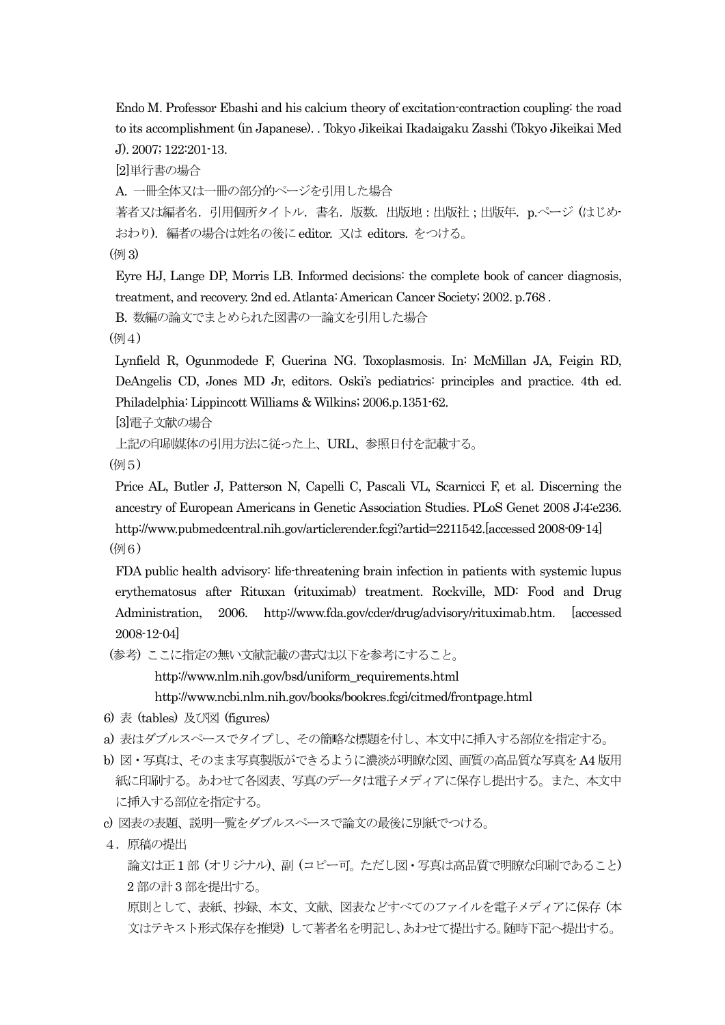Endo M. Professor Ebashi and his calcium theory of excitation-contraction coupling: the road to its accomplishment (in Japanese). . Tokyo Jikeikai Ikadaigaku Zasshi (Tokyo Jikeikai Med J). 2007; 122:201-13.

[2]単行書の場合

A. 一冊全体又は一冊の部分的ページを引用した場合

著者又は編者名. 引用個所タイトル. 書名. 版数. 出版地:出版社;出版年. p.ページ (はじめ-おわり).編者の場合は姓名の後にeditor. 又は editors. をつける。

(例3)

Eyre HJ, Lange DP, Morris LB. Informed decisions: the complete book of cancer diagnosis, treatment, and recovery. 2nd ed. Atlanta: American Cancer Society; 2002. p.768 .

B. 数編の論文でまとめられた図書の一論文を引用した場合

(例4)

Lynfield R, Ogunmodede F, Guerina NG. Toxoplasmosis. In: McMillan JA, Feigin RD, DeAngelis CD, Jones MD Jr, editors. Oski's pediatrics: principles and practice. 4th ed. Philadelphia: Lippincott Williams & Wilkins; 2006.p.1351-62.

[3]電子文献の場合

上記の印刷媒体の引用方法に従った上、URL、参照日付を記載する。

(例5)

Price AL, Butler J, Patterson N, Capelli C, Pascali VL, Scarnicci F, et al. Discerning the ancestry of European Americans in Genetic Association Studies. PLoS Genet 2008 J;4:e236. http://www.pubmedcentral.nih.gov/articlerender.fcgi?artid=2211542.[accessed 2008-09-14] (例6)

FDA public health advisory: life-threatening brain infection in patients with systemic lupus erythematosus after Rituxan (rituximab) treatment. Rockville, MD: Food and Drug Administration, 2006. http://www.fda.gov/cder/drug/advisory/rituximab.htm. [accessed 2008-12-04]

(参考) ここに指定の無い文献記載の書式は以下を参考にすること。

http://www.nlm.nih.gov/bsd/uniform\_requirements.html

http://www.ncbi.nlm.nih.gov/books/bookres.fcgi/citmed/frontpage.html

- 6) 表 (tables) 及び図 (figures)
- a) 表はダブルスペースでタイプし、その簡略な標題を付し、本文中に挿入する部位を指定する。
- b) 図・写真は、そのまま写真製版ができるように濃淡が明瞭な図、画質の高品質な写真をA4 版用 紙に印刷する。あわせて各図表、写真のデータは電子メディアに保存し提出する。また、本文中 に挿入する部位を指定する。
- c) 図表の表題、説明一覧をダブルスペースで論文の最後に別紙でつける。
- 4.原稿の提出

論文は正1 部 (オリジナル)、副 (コピー可。ただし図・写真は高品質で明瞭な印刷であること) 2 部の計3 部を提出する。

原則として、表紙、抄録、本文、文献、図表などすべてのファイルを電子メディアに保存 (本 文はテキスト形式保存を推奨) して著者名を明記し、あわせて提出する。随時下記へ提出する。